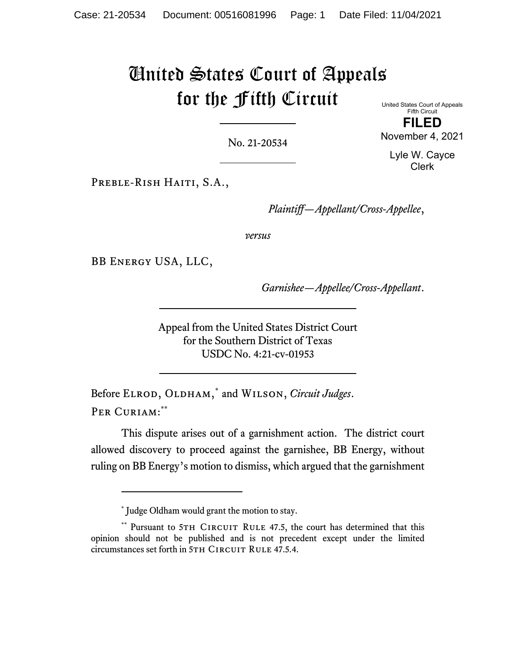# United States Court of Appeals for the Fifth Circuit

United States Court of Appeals Fifth Circuit **FILED** 

No. 21-20534

November 4, 2021 Lyle W. Cayce

Clerk

PREBLE-RISH HAITI, S.A.,

*Plaintiff—Appellant/Cross-Appellee*,

*versus*

BB Energy USA, LLC,

*Garnishee—Appellee/Cross-Appellant*.

Appeal from the United States District Court for the Southern District of Texas USDC No. 4:21-cv-01953

Before ELROD, OLDHAM,<sup>\*</sup> and WILSON, *Circuit Judges*. PER CURIAM:\*\*

This dispute arises out of a garnishment action. The district court allowed discovery to proceed against the garnishee, BB Energy, without ruling on BB Energy's motion to dismiss, which argued that the garnishment

<sup>\*</sup> Judge Oldham would grant the motion to stay.

<sup>\*\*</sup> Pursuant to 5TH CIRCUIT RULE 47.5, the court has determined that this opinion should not be published and is not precedent except under the limited circumstances set forth in 5TH CIRCUIT RULE 47.5.4.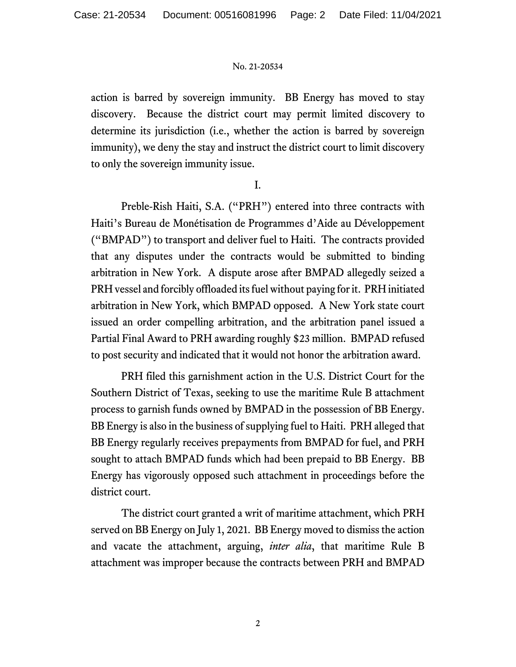action is barred by sovereign immunity. BB Energy has moved to stay discovery. Because the district court may permit limited discovery to determine its jurisdiction (i.e., whether the action is barred by sovereign immunity), we deny the stay and instruct the district court to limit discovery to only the sovereign immunity issue.

I.

 Preble-Rish Haiti, S.A. ("PRH") entered into three contracts with Haiti's Bureau de Monétisation de Programmes d'Aide au Développement ("BMPAD") to transport and deliver fuel to Haiti. The contracts provided that any disputes under the contracts would be submitted to binding arbitration in New York. A dispute arose after BMPAD allegedly seized a PRH vessel and forcibly offloaded its fuel without paying for it. PRH initiated arbitration in New York, which BMPAD opposed. A New York state court issued an order compelling arbitration, and the arbitration panel issued a Partial Final Award to PRH awarding roughly \$23 million. BMPAD refused to post security and indicated that it would not honor the arbitration award.

 PRH filed this garnishment action in the U.S. District Court for the Southern District of Texas, seeking to use the maritime Rule B attachment process to garnish funds owned by BMPAD in the possession of BB Energy. BB Energy is also in the business of supplying fuel to Haiti. PRH alleged that BB Energy regularly receives prepayments from BMPAD for fuel, and PRH sought to attach BMPAD funds which had been prepaid to BB Energy. BB Energy has vigorously opposed such attachment in proceedings before the district court.

 The district court granted a writ of maritime attachment, which PRH served on BB Energy on July 1, 2021. BB Energy moved to dismiss the action and vacate the attachment, arguing, *inter alia*, that maritime Rule B attachment was improper because the contracts between PRH and BMPAD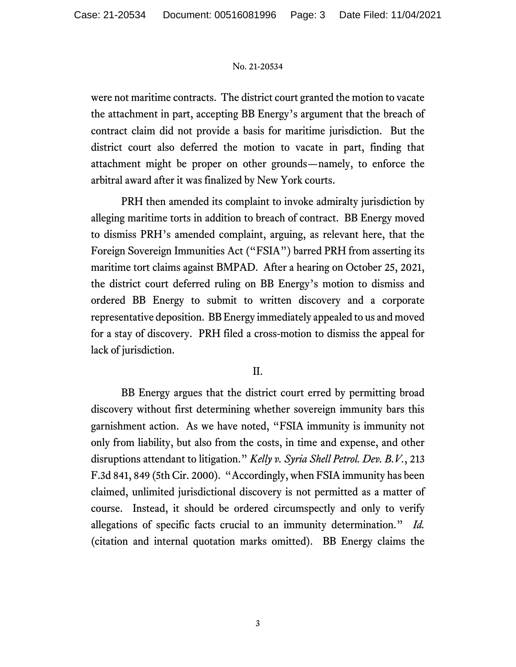were not maritime contracts. The district court granted the motion to vacate the attachment in part, accepting BB Energy's argument that the breach of contract claim did not provide a basis for maritime jurisdiction. But the district court also deferred the motion to vacate in part, finding that attachment might be proper on other grounds—namely, to enforce the arbitral award after it was finalized by New York courts.

 PRH then amended its complaint to invoke admiralty jurisdiction by alleging maritime torts in addition to breach of contract. BB Energy moved to dismiss PRH's amended complaint, arguing, as relevant here, that the Foreign Sovereign Immunities Act ("FSIA") barred PRH from asserting its maritime tort claims against BMPAD. After a hearing on October 25, 2021, the district court deferred ruling on BB Energy's motion to dismiss and ordered BB Energy to submit to written discovery and a corporate representative deposition. BB Energy immediately appealed to us and moved for a stay of discovery. PRH filed a cross-motion to dismiss the appeal for lack of jurisdiction.

# II.

 BB Energy argues that the district court erred by permitting broad discovery without first determining whether sovereign immunity bars this garnishment action. As we have noted, "FSIA immunity is immunity not only from liability, but also from the costs, in time and expense, and other disruptions attendant to litigation." *Kelly v. Syria Shell Petrol. Dev. B.V.*, 213 F.3d 841, 849 (5th Cir. 2000). "Accordingly, when FSIA immunity has been claimed, unlimited jurisdictional discovery is not permitted as a matter of course. Instead, it should be ordered circumspectly and only to verify allegations of specific facts crucial to an immunity determination." *Id.* (citation and internal quotation marks omitted). BB Energy claims the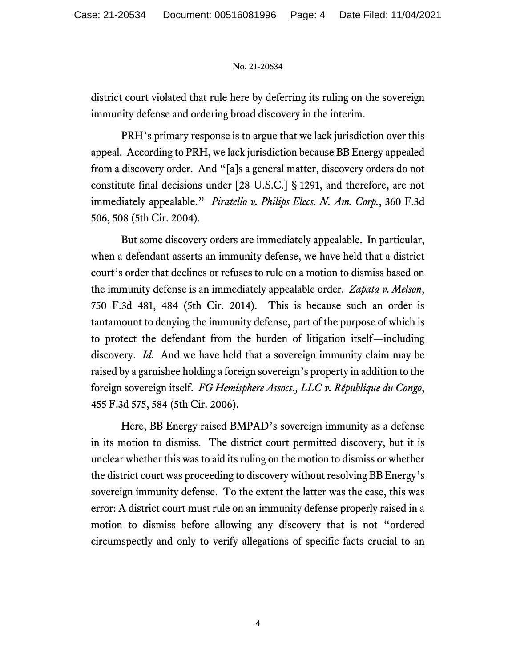district court violated that rule here by deferring its ruling on the sovereign immunity defense and ordering broad discovery in the interim.

 PRH's primary response is to argue that we lack jurisdiction over this appeal. According to PRH, we lack jurisdiction because BB Energy appealed from a discovery order. And "[a]s a general matter, discovery orders do not constitute final decisions under [28 U.S.C.] § 1291, and therefore, are not immediately appealable." *Piratello v. Philips Elecs. N. Am. Corp.*, 360 F.3d 506, 508 (5th Cir. 2004).

 But some discovery orders are immediately appealable. In particular, when a defendant asserts an immunity defense, we have held that a district court's order that declines or refuses to rule on a motion to dismiss based on the immunity defense is an immediately appealable order. *Zapata v. Melson*, 750 F.3d 481, 484 (5th Cir. 2014). This is because such an order is tantamount to denying the immunity defense, part of the purpose of which is to protect the defendant from the burden of litigation itself—including discovery. *Id.* And we have held that a sovereign immunity claim may be raised by a garnishee holding a foreign sovereign's property in addition to the foreign sovereign itself. *FG Hemisphere Assocs., LLC v. République du Congo*, 455 F.3d 575, 584 (5th Cir. 2006).

Here, BB Energy raised BMPAD's sovereign immunity as a defense in its motion to dismiss. The district court permitted discovery, but it is unclear whether this was to aid its ruling on the motion to dismiss or whether the district court was proceeding to discovery without resolving BB Energy's sovereign immunity defense. To the extent the latter was the case, this was error: A district court must rule on an immunity defense properly raised in a motion to dismiss before allowing any discovery that is not "ordered circumspectly and only to verify allegations of specific facts crucial to an